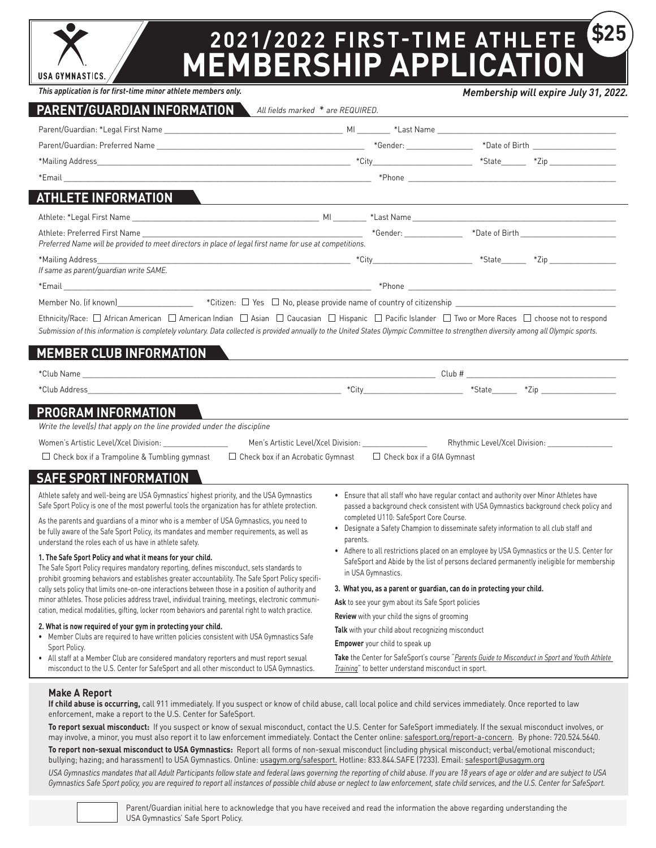## **2021/2022 FIRST-TIME ATHLETE MEMBERSHIP APPLICATION \$25**

*This application is for first-time minor athlete members only.*

*Membership will expire July 31, 2022.*

| This application is for first-time minor athlete members only.                                                                                                                                                                                                                                                                                                                     |                                                                                                                                                                                                                                                                                                                                                                                                                                                                                                                                                  |  | Membership will expire July 31, 2022 |  |
|------------------------------------------------------------------------------------------------------------------------------------------------------------------------------------------------------------------------------------------------------------------------------------------------------------------------------------------------------------------------------------|--------------------------------------------------------------------------------------------------------------------------------------------------------------------------------------------------------------------------------------------------------------------------------------------------------------------------------------------------------------------------------------------------------------------------------------------------------------------------------------------------------------------------------------------------|--|--------------------------------------|--|
| PARENT/GUARDIAN INFORMATION<br>All fields marked * are REQUIRED.                                                                                                                                                                                                                                                                                                                   |                                                                                                                                                                                                                                                                                                                                                                                                                                                                                                                                                  |  |                                      |  |
|                                                                                                                                                                                                                                                                                                                                                                                    |                                                                                                                                                                                                                                                                                                                                                                                                                                                                                                                                                  |  |                                      |  |
|                                                                                                                                                                                                                                                                                                                                                                                    |                                                                                                                                                                                                                                                                                                                                                                                                                                                                                                                                                  |  |                                      |  |
|                                                                                                                                                                                                                                                                                                                                                                                    |                                                                                                                                                                                                                                                                                                                                                                                                                                                                                                                                                  |  |                                      |  |
|                                                                                                                                                                                                                                                                                                                                                                                    |                                                                                                                                                                                                                                                                                                                                                                                                                                                                                                                                                  |  |                                      |  |
| <u>ATHLETE INFORMATION</u>                                                                                                                                                                                                                                                                                                                                                         |                                                                                                                                                                                                                                                                                                                                                                                                                                                                                                                                                  |  |                                      |  |
|                                                                                                                                                                                                                                                                                                                                                                                    |                                                                                                                                                                                                                                                                                                                                                                                                                                                                                                                                                  |  |                                      |  |
| Preferred Name will be provided to meet directors in place of legal first name for use at competitions.                                                                                                                                                                                                                                                                            |                                                                                                                                                                                                                                                                                                                                                                                                                                                                                                                                                  |  |                                      |  |
| If same as parent/guardian write SAME.                                                                                                                                                                                                                                                                                                                                             |                                                                                                                                                                                                                                                                                                                                                                                                                                                                                                                                                  |  |                                      |  |
|                                                                                                                                                                                                                                                                                                                                                                                    |                                                                                                                                                                                                                                                                                                                                                                                                                                                                                                                                                  |  |                                      |  |
| Member No. (if known)                                                                                                                                                                                                                                                                                                                                                              |                                                                                                                                                                                                                                                                                                                                                                                                                                                                                                                                                  |  |                                      |  |
| Ethnicity/Race: $\Box$ African American $\Box$ American Indian $\Box$ Asian $\Box$ Caucasian $\Box$ Hispanic $\Box$ Pacific Islander $\Box$ Two or More Races $\Box$ choose not to respond<br>Submission of this information is completely voluntary. Data collected is provided annually to the United States Olympic Committee to strengthen diversity among all Olympic sports. |                                                                                                                                                                                                                                                                                                                                                                                                                                                                                                                                                  |  |                                      |  |
| <b>MEMBER CLUB INFORMATION</b>                                                                                                                                                                                                                                                                                                                                                     |                                                                                                                                                                                                                                                                                                                                                                                                                                                                                                                                                  |  |                                      |  |
|                                                                                                                                                                                                                                                                                                                                                                                    |                                                                                                                                                                                                                                                                                                                                                                                                                                                                                                                                                  |  |                                      |  |
|                                                                                                                                                                                                                                                                                                                                                                                    |                                                                                                                                                                                                                                                                                                                                                                                                                                                                                                                                                  |  |                                      |  |
| PROGRAM INFORMATION                                                                                                                                                                                                                                                                                                                                                                |                                                                                                                                                                                                                                                                                                                                                                                                                                                                                                                                                  |  |                                      |  |
| Write the level(s) that apply on the line provided under the discipline                                                                                                                                                                                                                                                                                                            |                                                                                                                                                                                                                                                                                                                                                                                                                                                                                                                                                  |  |                                      |  |
| Women's Artistic Level/Xcel Division: _______________                                                                                                                                                                                                                                                                                                                              | Men's Artistic Level/Xcel Division: Men's Artistic                                                                                                                                                                                                                                                                                                                                                                                                                                                                                               |  |                                      |  |
| $\Box$ Check box if a Trampoline & Tumbling gymnast<br>$\Box$ Check box if an Acrobatic Gymnast                                                                                                                                                                                                                                                                                    | $\Box$ Check box if a GfA Gymnast                                                                                                                                                                                                                                                                                                                                                                                                                                                                                                                |  |                                      |  |
| <b>SAFE SPORT INFORMATION</b>                                                                                                                                                                                                                                                                                                                                                      |                                                                                                                                                                                                                                                                                                                                                                                                                                                                                                                                                  |  |                                      |  |
| Athlete safety and well-being are USA Gymnastics' highest priority, and the USA Gymnastics<br>Safe Sport Policy is one of the most powerful tools the organization has for athlete protection.                                                                                                                                                                                     | • Ensure that all staff who have regular contact and authority over Minor Athletes have<br>passed a background check consistent with USA Gymnastics background check policy and<br>completed U110: SafeSport Core Course.<br>• Designate a Safety Champion to disseminate safety information to all club staff and<br>parents.<br>• Adhere to all restrictions placed on an employee by USA Gymnastics or the U.S. Center for<br>SafeSport and Abide by the list of persons declared permanently ineligible for membership<br>in USA Gymnastics. |  |                                      |  |
| As the parents and quardians of a minor who is a member of USA Gymnastics, you need to<br>be fully aware of the Safe Sport Policy, its mandates and member requirements, as well as<br>understand the roles each of us have in athlete safety.                                                                                                                                     |                                                                                                                                                                                                                                                                                                                                                                                                                                                                                                                                                  |  |                                      |  |
| 1. The Safe Sport Policy and what it means for your child.<br>The Safe Sport Policy requires mandatory reporting, defines misconduct, sets standards to<br>prohibit grooming behaviors and establishes greater accountability. The Safe Sport Policy specifi-                                                                                                                      |                                                                                                                                                                                                                                                                                                                                                                                                                                                                                                                                                  |  |                                      |  |
| cally sets policy that limits one-on-one interactions between those in a position of authority and                                                                                                                                                                                                                                                                                 | 3. What you, as a parent or guardian, can do in protecting your child.                                                                                                                                                                                                                                                                                                                                                                                                                                                                           |  |                                      |  |
| minor athletes. Those policies address travel, individual training, meetings, electronic communi-<br>cation, medical modalities, gifting, locker room behaviors and parental right to watch practice.<br>2. What is now required of your gym in protecting your child.                                                                                                             | Ask to see your gym about its Safe Sport policies                                                                                                                                                                                                                                                                                                                                                                                                                                                                                                |  |                                      |  |
|                                                                                                                                                                                                                                                                                                                                                                                    | Review with your child the signs of grooming                                                                                                                                                                                                                                                                                                                                                                                                                                                                                                     |  |                                      |  |
| • Member Clubs are required to have written policies consistent with USA Gymnastics Safe                                                                                                                                                                                                                                                                                           | Talk with your child about recognizing misconduct                                                                                                                                                                                                                                                                                                                                                                                                                                                                                                |  |                                      |  |
| Sport Policy.<br>• All staff at a Member Club are considered mandatory reporters and must report sexual                                                                                                                                                                                                                                                                            | Empower your child to speak up<br>Take the Center for SafeSport's course "Parents Guide to Misconduct in Sport and Youth Athlete                                                                                                                                                                                                                                                                                                                                                                                                                 |  |                                      |  |
| misconduct to the U.S. Center for SafeSport and all other misconduct to USA Gymnastics.                                                                                                                                                                                                                                                                                            | Training" to better understand misconduct in sport.                                                                                                                                                                                                                                                                                                                                                                                                                                                                                              |  |                                      |  |
| Males A Danaut                                                                                                                                                                                                                                                                                                                                                                     |                                                                                                                                                                                                                                                                                                                                                                                                                                                                                                                                                  |  |                                      |  |

#### **Make A Report**

**If child abuse is occurring,** call 911 immediately. If you suspect or know of child abuse, call local police and child services immediately. Once reported to law enforcement, make a report to the U.S. Center for SafeSport.

**To report sexual misconduct:** If you suspect or know of sexual misconduct, contact the U.S. Center for SafeSport immediately. If the sexual misconduct involves, or may involve, a minor, you must also report it to law enforcement immediately. Contact the Center online: [safesport.org/report-a-concern](https://uscenterforsafesport.org/report-a-concern/). By phone: 720.524.5640.

**To report non-sexual misconduct to USA Gymnastics:** Report all forms of non-sexual misconduct (including physical misconduct; verbal/emotional misconduct; bullying; hazing; and harassment) to USA Gymnastics. Online: [usagym.org/safesport.](https://usagym.org/pages/education/safesport/) Hotline: 833.844.SAFE (7233). Email: [safesport@usagym.org](mailto:safesport%40usagym.org?subject=)

*USA Gymnastics mandates that all Adult Participants follow state and federal laws governing the reporting of child abuse. If you are 18 years of age or older and are subject to USA Gymnastics Safe Sport policy, you are required to report all instances of possible child abuse or neglect to law enforcement, state child services, and the U.S. Center for SafeSport.*